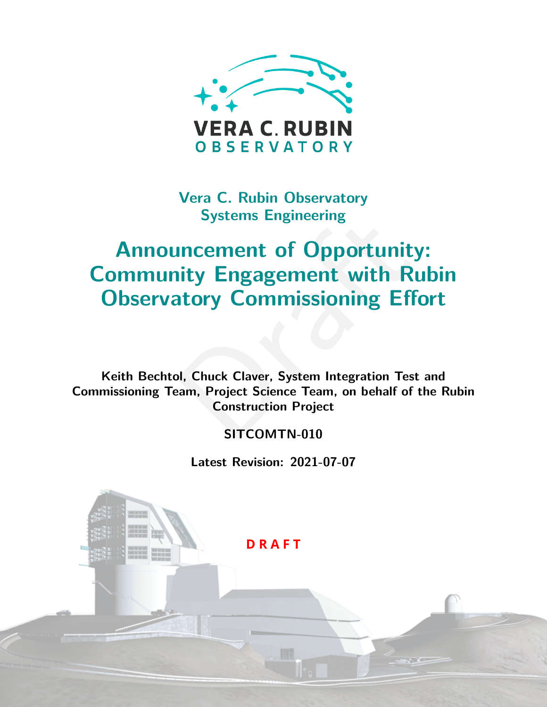

**Vera C. Rubin Observatory Systems Engineering**

# Systems Engmeering<br>
Incernent of Opportunity:<br>
ity Engagement with Rul<br>
atory Commissioning Effo<br>
D. Chuck Claver, System Integration Test a<br>
D. Chuck Claver, System Integration Test a<br>
Construction Project<br>
SITCOMTN-010 **Announcement of Opportunity: Community Engagement with Rubin Observatory Commissioning Effort**

**Keith Bechtol, Chuck Claver, System Integration Test and Commissioning Team, Project Science Team, on behalf of the Rubin Construction Project**

#### **SITCOMTN-010**

**Latest Revision: 2021-07-07**

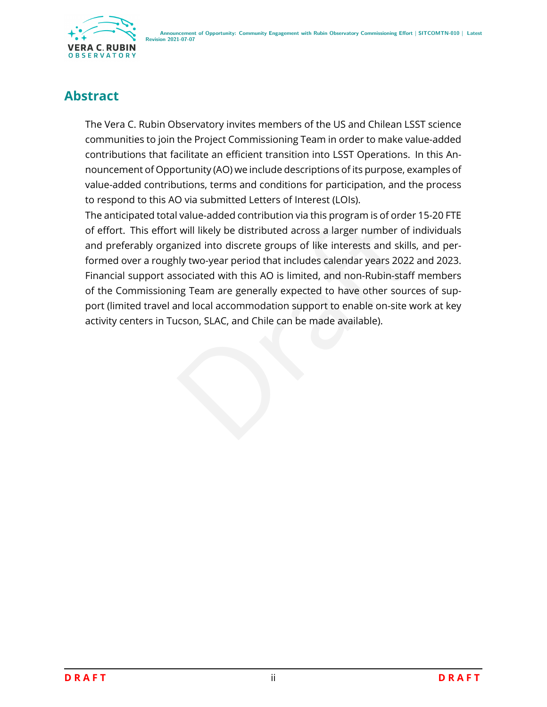

## **Abstract**

The Vera C. Rubin Observatory invites members of the US and Chilean LSST science communities to join the Project Commissioning Team in order to make value-added contributions that facilitate an efficient transition into LSST Operations. In this Announcement of Opportunity (AO) we include descriptions of its purpose, examples of value-added contributions, terms and conditions for participation, and the process to respond to this AO via submitted Letters of Interest (LOIs).

I value-added contribution via this program is of order 13<br>
i. will likely be distributed across a larger number of indi-<br>
inized into discrete groups of like interests and skills, and<br>
sociated with this AO is limited, an The anticipated total value-added contribution via this program is of order 15-20 FTE of effort. This effort will likely be distributed across a larger number of individuals and preferably organized into discrete groups of like interests and skills, and performed over a roughly two-year period that includes calendar years 2022 and 2023. Financial support associated with this AO is limited, and non-Rubin-staff members of the Commissioning Team are generally expected to have other sources of support (limited travel and local accommodation support to enable on-site work at key activity centers in Tucson, SLAC, and Chile can be made available).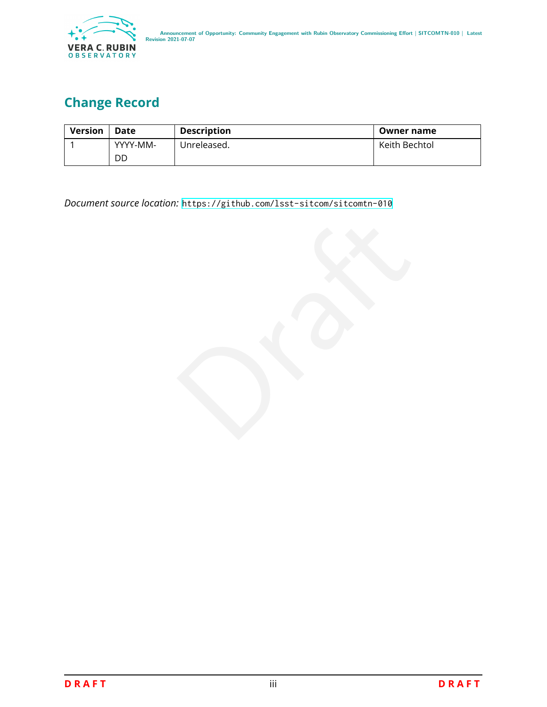

# **Change Record**

| <b>Version</b> | Date     | <b>Description</b> | Owner name    |
|----------------|----------|--------------------|---------------|
|                | YYYY-MM- | Unreleased.        | Keith Bechtol |
|                | DD       |                    |               |

*Document source location:* <https://github.com/lsst-sitcom/sitcomtn-010>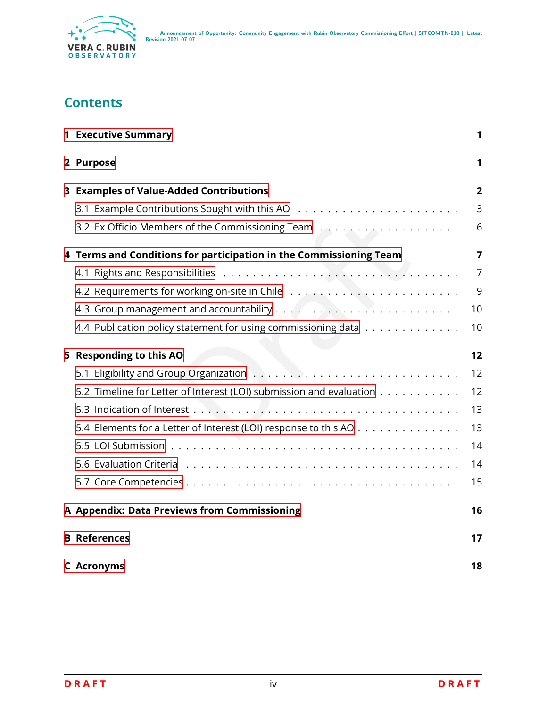

## **Contents**

| <b>1 Executive Summary</b>                                          | 1              |
|---------------------------------------------------------------------|----------------|
| 2 Purpose                                                           | 1              |
| 3 Examples of Value-Added Contributions                             | $\overline{2}$ |
|                                                                     | 3              |
| 3.2 Ex Officio Members of the Commissioning Team                    | 6              |
| 4 Terms and Conditions for participation in the Commissioning Team  | 7              |
|                                                                     | $\overline{7}$ |
|                                                                     | 9              |
|                                                                     | 10             |
| 4.4 Publication policy statement for using commissioning data       | 10             |
| 5 Responding to this AO                                             | 12             |
|                                                                     | 12             |
| 5.2 Timeline for Letter of Interest (LOI) submission and evaluation | 12             |
|                                                                     | 13             |
| 5.4 Elements for a Letter of Interest (LOI) response to this AO     | 13             |
|                                                                     | 14             |
|                                                                     | 14             |
|                                                                     | 15             |
| A Appendix: Data Previews from Commissioning                        | 16             |
| <b>B</b> References                                                 | 17             |
| <b>C</b> Acronyms                                                   | 18             |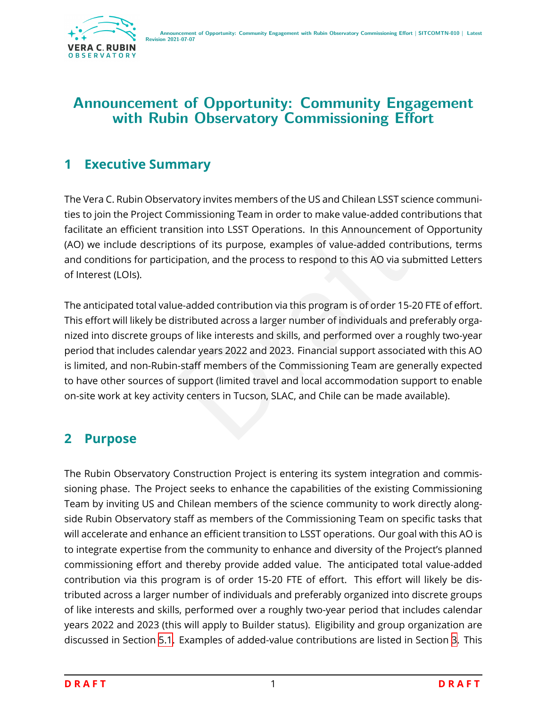

## **Announcement of Opportunity: Community Engagement with Rubin Observatory Commissioning Effort**

## <span id="page-4-0"></span>**1 Executive Summary**

The Vera C. Rubin Observatory invites members of the US and Chilean LSST science communities to join the Project Commissioning Team in order to make value-added contributions that facilitate an efficient transition into LSST Operations. In this Announcement of Opportunity (AO) we include descriptions of its purpose, examples of value-added contributions, terms and conditions for participation, and the process to respond to this AO via submitted Letters of Interest (LOIs).

minissioning reammotour to make value-added contrinuation into LSST Operations. In this Announcement of (<br>ions of its purpose, examples of value-added contributipation, and the process to respond to this AO via submi<br>ne-ad The anticipated total value-added contribution via this program is of order 15-20 FTE of effort. This effort will likely be distributed across a larger number of individuals and preferably organized into discrete groups of like interests and skills, and performed over a roughly two-year period that includes calendar years 2022 and 2023. Financial support associated with this AO is limited, and non-Rubin-staff members of the Commissioning Team are generally expected to have other sources of support (limited travel and local accommodation support to enable on-site work at key activity centers in Tucson, SLAC, and Chile can be made available).

## <span id="page-4-1"></span>**2 Purpose**

The Rubin Observatory Construction Project is entering its system integration and commissioning phase. The Project seeks to enhance the capabilities of the existing Commissioning Team by inviting US and Chilean members of the science community to work directly alongside Rubin Observatory staff as members of the Commissioning Team on specific tasks that will accelerate and enhance an efficient transition to LSST operations. Our goal with this AO is to integrate expertise from the community to enhance and diversity of the Project's planned commissioning effort and thereby provide added value. The anticipated total value-added contribution via this program is of order 15-20 FTE of effort. This effort will likely be distributed across a larger number of individuals and preferably organized into discrete groups of like interests and skills, performed over a roughly two-year period that includes calendar years 2022 and 2023 (this will apply to Builder status). Eligibility and group organization are discussed in Section [5.1](#page-15-1). Examples of added-value contributions are listed in Section [3.](#page-5-0) This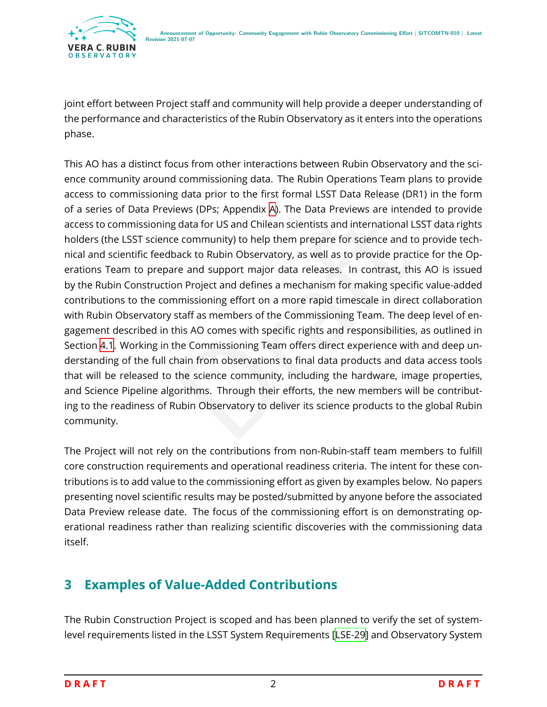joint effort between Project staff and community will help provide a deeper understanding of the performance and characteristics of the Rubin Observatory as it enters into the operations phase.

data for US and Chilean scientists and international LSS1<br>
De community) to help them prepare for science and to p<br>
ack to Rubin Observatory, as well as to provide practice<br>
re and support major data releases. In contrast, This AO has a distinct focus from other interactions between Rubin Observatory and the science community around commissioning data. The Rubin Operations Team plans to provide access to commissioning data prior to the first formal LSST Data Release (DR1) in the form of a series of Data Previews (DPs; Appendix [A\)](#page-19-0). The Data Previews are intended to provide access to commissioning data for US and Chilean scientists and international LSST data rights holders (the LSST science community) to help them prepare for science and to provide technical and scientific feedback to Rubin Observatory, as well as to provide practice for the Operations Team to prepare and support major data releases. In contrast, this AO is issued by the Rubin Construction Project and defines a mechanism for making specific value-added contributions to the commissioning effort on a more rapid timescale in direct collaboration with Rubin Observatory staff as members of the Commissioning Team. The deep level of engagement described in this AO comes with specific rights and responsibilities, as outlined in Section [4.1](#page-10-1). Working in the Commissioning Team offers direct experience with and deep understanding of the full chain from observations to final data products and data access tools that will be released to the science community, including the hardware, image properties, and Science Pipeline algorithms. Through their efforts, the new members will be contributing to the readiness of Rubin Observatory to deliver its science products to the global Rubin community.

The Project will not rely on the contributions from non-Rubin-staff team members to fulfill core construction requirements and operational readiness criteria. The intent for these contributions is to add value to the commissioning effort as given by examples below. No papers presenting novel scientific results may be posted/submitted by anyone before the associated Data Preview release date. The focus of the commissioning effort is on demonstrating operational readiness rather than realizing scientific discoveries with the commissioning data itself.

## <span id="page-5-0"></span>**3 Examples of Value-Added Contributions**

The Rubin Construction Project is scoped and has been planned to verify the set of systemlevel requirements listed in the LSST System Requirements [\[LSE-29](#page-21-1)] and Observatory System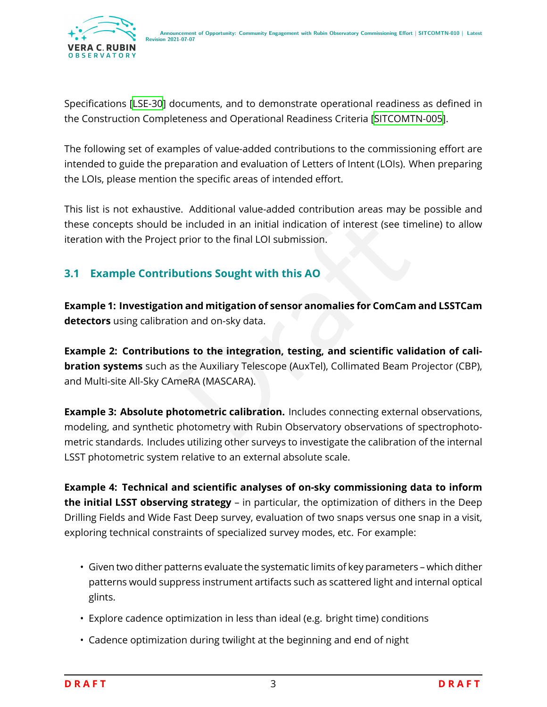Specifications[[LSE-30](#page-21-2)] documents, and to demonstrate operational readiness as defined in the Construction Completeness and Operational Readiness Criteria[[SITCOMTN-005\]](#page-21-3).

The following set of examples of value-added contributions to the commissioning effort are intended to guide the preparation and evaluation of Letters of Intent (LOIs). When preparing the LOIs, please mention the specific areas of intended effort.

This list is not exhaustive. Additional value-added contribution areas may be possible and these concepts should be included in an initial indication of interest (see timeline) to allow iteration with the Project prior to the final LOI submission.

#### <span id="page-6-0"></span>**3.1 Example Contributions Sought with this AO**

**Example 1: Investigation and mitigation of sensor anomalies for ComCam and LSSTCam detectors** using calibration and on-sky data.

in prior to the final LOI submission.<br>
Separation of interest (see timelial prior to the final LOI submission.<br>
Nutions Sought with this AO<br>
In and mitigation of sensor anomalies for ComCam an<br>
Separation of sensor anomali **Example 2: Contributions to the integration, testing, and scientific validation of calibration systems** such as the Auxiliary Telescope (AuxTel), Collimated Beam Projector (CBP), and Multi-site All-Sky CAmeRA (MASCARA).

**Example 3: Absolute photometric calibration.** Includes connecting external observations, modeling, and synthetic photometry with Rubin Observatory observations of spectrophotometric standards. Includes utilizing other surveys to investigate the calibration of the internal LSST photometric system relative to an external absolute scale.

**Example 4: Technical and scientific analyses of on-sky commissioning data to inform the initial LSST observing strategy** – in particular, the optimization of dithers in the Deep Drilling Fields and Wide Fast Deep survey, evaluation of two snaps versus one snap in a visit, exploring technical constraints of specialized survey modes, etc. For example:

- Given two dither patterns evaluate the systematic limits of key parameters which dither patterns would suppress instrument artifacts such as scattered light and internal optical glints.
- Explore cadence optimization in less than ideal (e.g. bright time) conditions
- Cadence optimization during twilight at the beginning and end of night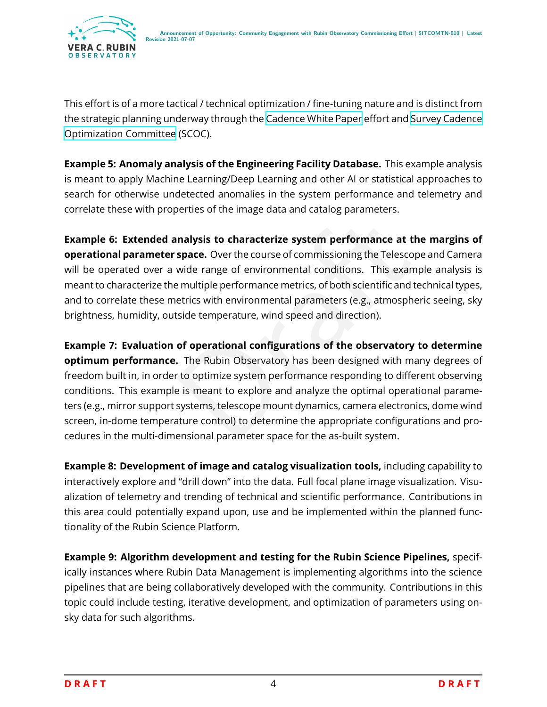

This effort is of a more tactical / technical optimization / fine-tuning nature and is distinct from the strategic planning underway through the [Cadence White Paper](https://www.lsst.org/content/survey-cadence-notes-2021) effort and [Survey Cadence](https://www.lsst.org/content/charge-survey-cadence-optimization-committee-scoc) [Optimization Committee](https://www.lsst.org/content/charge-survey-cadence-optimization-committee-scoc) (SCOC).

**Example 5: Anomaly analysis of the Engineering Facility Database.** This example analysis is meant to apply Machine Learning/Deep Learning and other AI or statistical approaches to search for otherwise undetected anomalies in the system performance and telemetry and correlate these with properties of the image data and catalog parameters.

**Example 6: Extended analysis to characterize system performance at the margins of operational parameter space.** Over the course of commissioning the Telescope and Camera will be operated over a wide range of environmental conditions. This example analysis is meant to characterize the multiple performance metrics, of both scientific and technical types, and to correlate these metrics with environmental parameters (e.g., atmospheric seeing, sky brightness, humidity, outside temperature, wind speed and direction).

**Inalysis to characterize system performance at the**<br> **space.** Over the course of commissioning the Telescope a<br>
wide range of environmental conditions. This example<br>
emultiple performance metrics, of both scientific and t **Example 7: Evaluation of operational configurations of the observatory to determine optimum performance.** The Rubin Observatory has been designed with many degrees of freedom built in, in order to optimize system performance responding to different observing conditions. This example is meant to explore and analyze the optimal operational parameters (e.g., mirror support systems, telescope mount dynamics, camera electronics, dome wind screen, in-dome temperature control) to determine the appropriate configurations and procedures in the multi-dimensional parameter space for the as-built system.

**Example 8: Development of image and catalog visualization tools,** including capability to interactively explore and "drill down" into the data. Full focal plane image visualization. Visualization of telemetry and trending of technical and scientific performance. Contributions in this area could potentially expand upon, use and be implemented within the planned functionality of the Rubin Science Platform.

**Example 9: Algorithm development and testing for the Rubin Science Pipelines,** specifically instances where Rubin Data Management is implementing algorithms into the science pipelines that are being collaboratively developed with the community. Contributions in this topic could include testing, iterative development, and optimization of parameters using onsky data for such algorithms.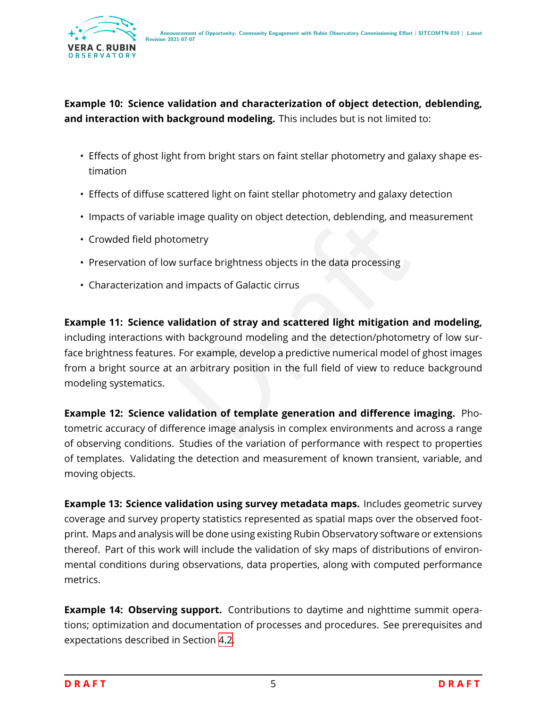

**Example 10: Science validation and characterization of object detection, deblending, and interaction with background modeling.** This includes but is not limited to:

- Effects of ghost light from bright stars on faint stellar photometry and galaxy shape estimation
- Effects of diffuse scattered light on faint stellar photometry and galaxy detection
- Impacts of variable image quality on object detection, deblending, and measurement
- Crowded field photometry
- Preservation of low surface brightness objects in the data processing
- Characterization and impacts of Galactic cirrus

Image quality on object detection, deblending, and mea<br>
ometry<br>
surface brightness objects in the data processing<br>
alidation of stray and scattered light mitigation and<br>
th background modeling and the detection/photometry<br> **Example 11: Science validation of stray and scattered light mitigation and modeling,** including interactions with background modeling and the detection/photometry of low surface brightness features. For example, develop a predictive numerical model of ghost images from a bright source at an arbitrary position in the full field of view to reduce background modeling systematics.

**Example 12: Science validation of template generation and difference imaging.** Photometric accuracy of difference image analysis in complex environments and across a range of observing conditions. Studies of the variation of performance with respect to properties of templates. Validating the detection and measurement of known transient, variable, and moving objects.

**Example 13: Science validation using survey metadata maps.** Includes geometric survey coverage and survey property statistics represented as spatial maps over the observed footprint. Maps and analysis will be done using existing Rubin Observatory software or extensions thereof. Part of this work will include the validation of sky maps of distributions of environmental conditions during observations, data properties, along with computed performance metrics.

**Example 14: Observing support.** Contributions to daytime and nighttime summit operations; optimization and documentation of processes and procedures. See prerequisites and expectations described in Section [4.2](#page-12-0) .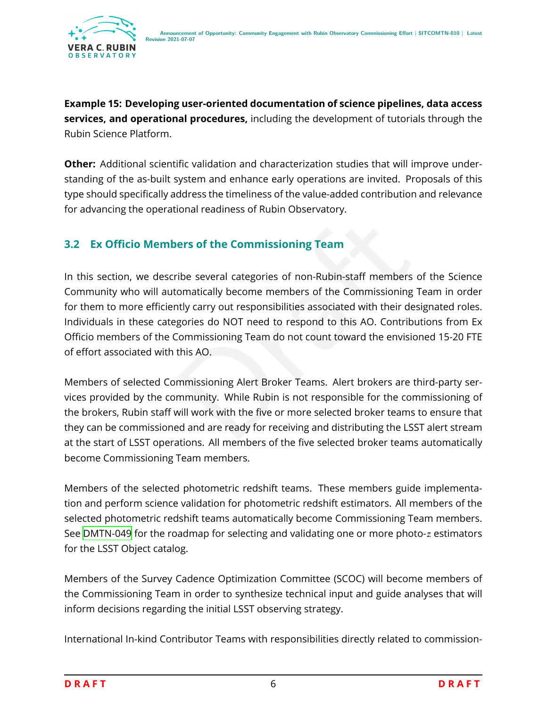**Example 15: Developing user-oriented documentation of science pipelines, data access services, and operational procedures,** including the development of tutorials through the Rubin Science Platform.

**Other:** Additional scientific validation and characterization studies that will improve understanding of the as-built system and enhance early operations are invited. Proposals of this type should specifically address the timeliness of the value-added contribution and relevance for advancing the operational readiness of Rubin Observatory.

#### **3.2 Ex Officio Members of the Commissioning Team**

<span id="page-9-0"></span>ers of the Commissioning Team<br>
The several categories of non-Rubin-staff members of<br>
Intervally become members of the Commissioning Team<br>
Interval carry out responsibilities associated with their desig<br>
gories do NOT need In this section, we describe several categories of non-Rubin-staff members of the Science Community who will automatically become members of the Commissioning Team in order for them to more efficiently carry out responsibilities associated with their designated roles. Individuals in these categories do NOT need to respond to this AO. Contributions from Ex Officio members of the Commissioning Team do not count toward the envisioned 15-20 FTE of effort associated with this AO.

Members of selected Commissioning Alert Broker Teams. Alert brokers are third-party services provided by the community. While Rubin is not responsible for the commissioning of the brokers, Rubin staff will work with the five or more selected broker teams to ensure that they can be commissioned and are ready for receiving and distributing the LSST alert stream at the start of LSST operations. All members of the five selected broker teams automatically become Commissioning Team members.

Members of the selected photometric redshift teams. These members guide implementation and perform science validation for photometric redshift estimators. All members of the selected photometric redshift teams automatically become Commissioning Team members. See [DMTN-049](#page-21-4) for the roadmap for selecting and validating one or more photo- $\it z$  estimators for the LSST Object catalog.

Members of the Survey Cadence Optimization Committee (SCOC) will become members of the Commissioning Team in order to synthesize technical input and guide analyses that will inform decisions regarding the initial LSST observing strategy.

International In-kind Contributor Teams with responsibilities directly related to commission-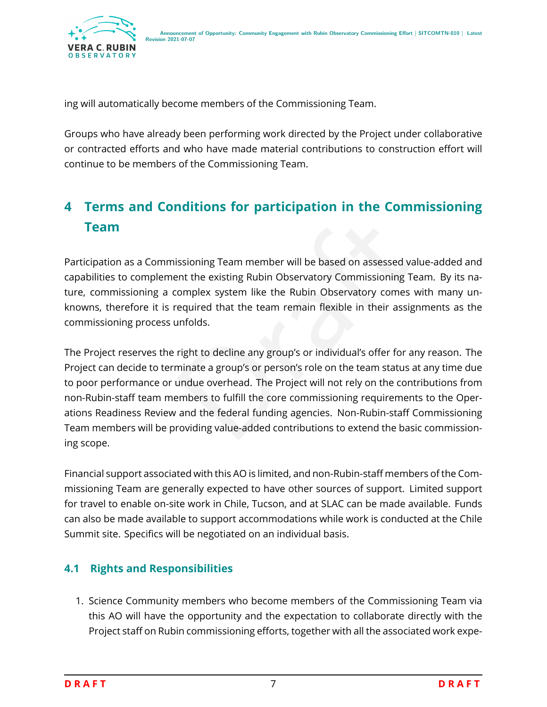

ing will automatically become members of the Commissioning Team.

Groups who have already been performing work directed by the Project under collaborative or contracted efforts and who have made material contributions to construction effort will continue to be members of the Commissioning Team.

# <span id="page-10-0"></span>**4 Terms and Conditions for participation in the Commissioning Team**

Participation as a Commissioning Team member will be based on assessed value-added and capabilities to complement the existing Rubin Observatory Commissioning Team. By its nature, commissioning a complex system like the Rubin Observatory comes with many unknowns, therefore it is required that the team remain flexible in their assignments as the commissioning process unfolds.

issioning Team member will be based on assessed value<br>ent the existing Rubin Observatory Commissioning Team<br>complex system like the Rubin Observatory comes wit<br>required that the team remain flexible in their assignm<br>unfold The Project reserves the right to decline any group's or individual's offer for any reason. The Project can decide to terminate a group's or person's role on the team status at any time due to poor performance or undue overhead. The Project will not rely on the contributions from non-Rubin-staff team members to fulfill the core commissioning requirements to the Operations Readiness Review and the federal funding agencies. Non-Rubin-staff Commissioning Team members will be providing value-added contributions to extend the basic commissioning scope.

Financial support associated with this AO is limited, and non-Rubin-staff members of the Commissioning Team are generally expected to have other sources of support. Limited support for travel to enable on-site work in Chile, Tucson, and at SLAC can be made available. Funds can also be made available to support accommodations while work is conducted at the Chile Summit site. Specifics will be negotiated on an individual basis.

#### <span id="page-10-1"></span>**4.1 Rights and Responsibilities**

1. Science Community members who become members of the Commissioning Team via this AO will have the opportunity and the expectation to collaborate directly with the Project staff on Rubin commissioning efforts, together with all the associated work expe-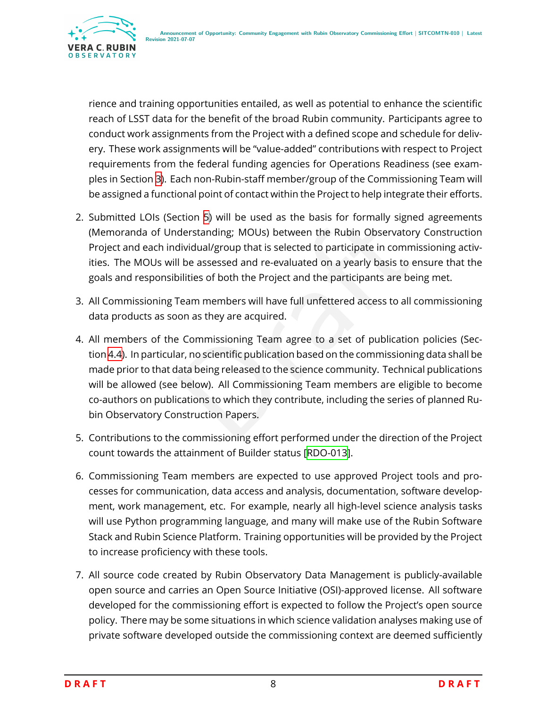

rience and training opportunities entailed, as well as potential to enhance the scientific reach of LSST data for the benefit of the broad Rubin community. Participants agree to conduct work assignments from the Project with a defined scope and schedule for delivery. These work assignments will be "value-added" contributions with respect to Project requirements from the federal funding agencies for Operations Readiness (see examples in Section [3\)](#page-5-0). Each non-Rubin-staff member/group of the Commissioning Team will be assigned a functional point of contact within the Project to help integrate their efforts.

- 2. Submitted LOIs (Section [5](#page-15-0)) will be used as the basis for formally signed agreements (Memoranda of Understanding; MOUs) between the Rubin Observatory Construction Project and each individual/group that is selected to participate in commissioning activities. The MOUs will be assessed and re-evaluated on a yearly basis to ensure that the goals and responsibilities of both the Project and the participants are being met.
- 3. All Commissioning Team members will have full unfettered access to all commissioning data products as soon as they are acquired.
- ection 5) will be used as the basis for formally signed anderstanding; MOUs) between the Rubin Observatory C<br>dividual/group that is selected to participate in commissil<br>li be assessed and re-evaluated on a yearly basis to 4. All members of the Commissioning Team agree to a set of publication policies (Section [4.4\)](#page-13-1). In particular, no scientific publication based on the commissioning data shall be made prior to that data being released to the science community. Technical publications will be allowed (see below). All Commissioning Team members are eligible to become co-authors on publications to which they contribute, including the series of planned Rubin Observatory Construction Papers.
- 5. Contributions to the commissioning effort performed under the direction of the Project count towards the attainment of Builder status[[RDO-013\]](#page-20-1).
- 6. Commissioning Team members are expected to use approved Project tools and processes for communication, data access and analysis, documentation, software development, work management, etc. For example, nearly all high-level science analysis tasks will use Python programming language, and many will make use of the Rubin Software Stack and Rubin Science Platform. Training opportunities will be provided by the Project to increase proficiency with these tools.
- 7. All source code created by Rubin Observatory Data Management is publicly-available open source and carries an Open Source Initiative (OSI)-approved license. All software developed for the commissioning effort is expected to follow the Project's open source policy. There may be some situations in which science validation analyses making use of private software developed outside the commissioning context are deemed sufficiently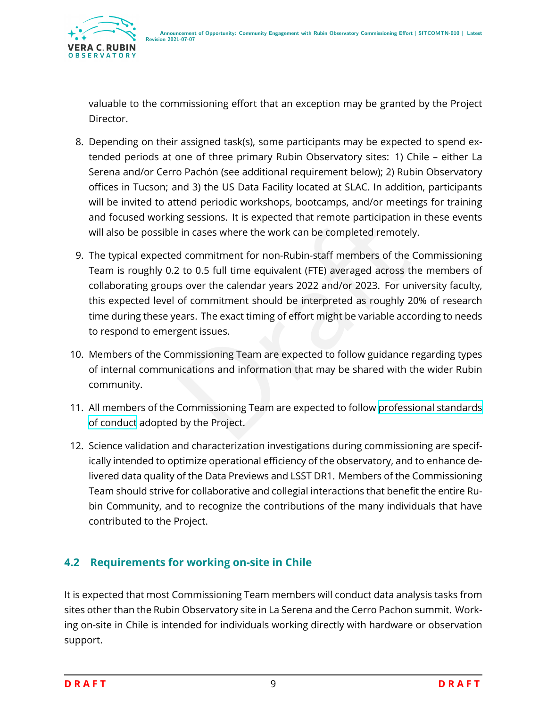

valuable to the commissioning effort that an exception may be granted by the Project Director.

- 8. Depending on their assigned task(s), some participants may be expected to spend extended periods at one of three primary Rubin Observatory sites: 1) Chile – either La Serena and/or Cerro Pachón (see additional requirement below); 2) Rubin Observatory offices in Tucson; and 3) the US Data Facility located at SLAC. In addition, participants will be invited to attend periodic workshops, bootcamps, and/or meetings for training and focused working sessions. It is expected that remote participation in these events will also be possible in cases where the work can be completed remotely.
- be in cases where the work can be completed remote participation in the in cases where the work can be completed remotely.<br>
d commitment for non-Rubin-staff members of the Con<br>
2 to 0.5 full time equivalent (FTE) averaged 9. The typical expected commitment for non-Rubin-staff members of the Commissioning Team is roughly 0.2 to 0.5 full time equivalent (FTE) averaged across the members of collaborating groups over the calendar years 2022 and/or 2023. For university faculty, this expected level of commitment should be interpreted as roughly 20% of research time during these years. The exact timing of effort might be variable according to needs to respond to emergent issues.
- 10. Members of the Commissioning Team are expected to follow guidance regarding types of internal communications and information that may be shared with the wider Rubin community.
- 11. All members of the Commissioning Team are expected to follow [professional standards](https://www.lsst.org/scientists/codes-of-conduct) [of conduct](https://www.lsst.org/scientists/codes-of-conduct) adopted by the Project.
- 12. Science validation and characterization investigations during commissioning are specifically intended to optimize operational efficiency of the observatory, and to enhance delivered data quality of the Data Previews and LSST DR1. Members of the Commissioning Team should strive for collaborative and collegial interactions that benefit the entire Rubin Community, and to recognize the contributions of the many individuals that have contributed to the Project.

#### <span id="page-12-0"></span>**4.2 Requirements for working on-site in Chile**

It is expected that most Commissioning Team members will conduct data analysis tasks from sites other than the Rubin Observatory site in La Serena and the Cerro Pachon summit. Working on-site in Chile is intended for individuals working directly with hardware or observation support.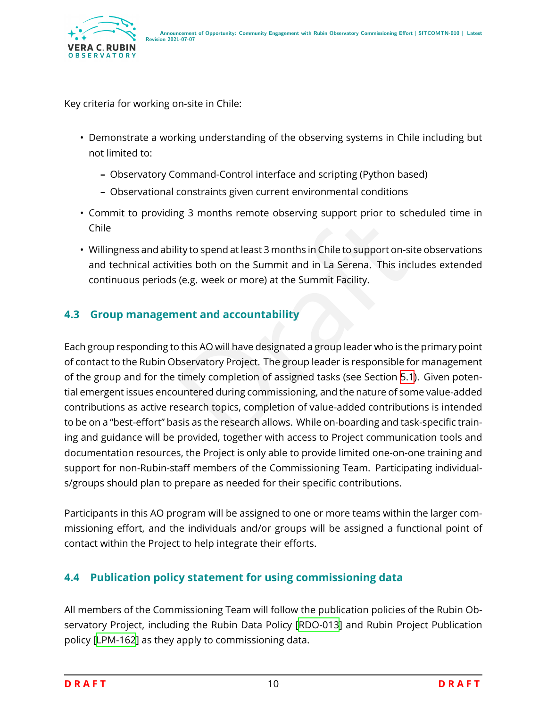

Key criteria for working on-site in Chile:

- Demonstrate a working understanding of the observing systems in Chile including but not limited to:
	- **–** Observatory Command-Control interface and scripting (Python based)
	- **–** Observational constraints given current environmental conditions
- Commit to providing 3 months remote observing support prior to scheduled time in Chile
- Willingness and ability to spend at least 3 months in Chile to support on-site observations and technical activities both on the Summit and in La Serena. This includes extended continuous periods (e.g. week or more) at the Summit Facility.

#### <span id="page-13-0"></span>**4.3 Group management and accountability**

ity to spend at least 3 months in Chile to support prior to scried<br>ties both on the Summit and in La Serena. This include<br>(e.g. week or more) at the Summit Facility.<br>**nent and accountability**<br>of this AO will have designate Each group responding to this AO will have designated a group leader who is the primary point of contact to the Rubin Observatory Project. The group leader is responsible for management of the group and for the timely completion of assigned tasks (see Section 5.1). Given potential emergent issues encountered during commissioning, and the nature of some value-added contributions as active research topics, completion of value-added contributions is intended to be on a "best-effort" basis as the research allows. While on-boarding and task-specific training and guidance will be provided, together with access to Project communication tools and documentation resources, the Project is only able to provide limited one-on-one training and support for non-Rubin-staff members of the Commissioning Team. Participating individuals/groups should plan to prepare as needed for their specific contributions.

Participants in this AO program will be assigned to one or more teams within the larger commissioning effort, and the individuals and/or groups will be assigned a functional point of contact within the Project to help integrate their efforts.

#### <span id="page-13-1"></span>**4.4 Publication policy statement for using commissioning data**

All members of the Commissioning Team will follow the publication policies of the Rubin Observatory Project, including the Rubin Data Policy [\[RDO-013\]](#page-20-1) and Rubin Project Publication policy[[LPM-162](#page-21-5)] as they apply to commissioning data.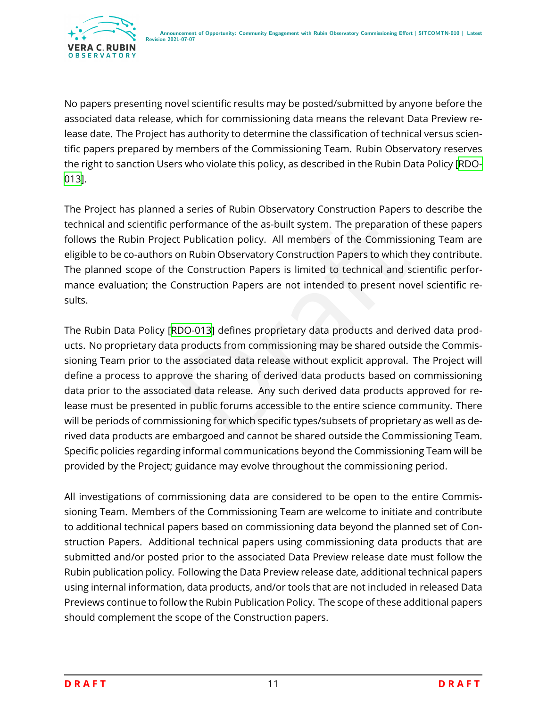

No papers presenting novel scientific results may be posted/submitted by anyone before the associated data release, which for commissioning data means the relevant Data Preview release date. The Project has authority to determine the classification of technical versus scientific papers prepared by members of the Commissioning Team. Rubin Observatory reserves the right to sanction Users who violate this policy, as described in the Rubin Data Policy [\[RDO-](#page-20-1)[013\]](#page-20-1).

The Project has planned a series of Rubin Observatory Construction Papers to describe the technical and scientific performance of the as-built system. The preparation of these papers follows the Rubin Project Publication policy. All members of the Commissioning Team are eligible to be co-authors on Rubin Observatory Construction Papers to which they contribute. The planned scope of the Construction Papers is limited to technical and scientific performance evaluation; the Construction Papers are not intended to present novel scientific results.

erformance of the as-built system. The preparation of the the Publication policy. All members of the Commissionin<br>on Rubin Observatory Construction Papers to which they<br>ne Construction Papers is limited to technical and sc The Rubin Data Policy [RDO-013] defines proprietary data products and derived data products. No proprietary data products from commissioning may be shared outside the Commissioning Team prior to the associated data release without explicit approval. The Project will define a process to approve the sharing of derived data products based on commissioning data prior to the associated data release. Any such derived data products approved for release must be presented in public forums accessible to the entire science community. There will be periods of commissioning for which specific types/subsets of proprietary as well as derived data products are embargoed and cannot be shared outside the Commissioning Team. Specific policies regarding informal communications beyond the Commissioning Team will be provided by the Project; guidance may evolve throughout the commissioning period.

All investigations of commissioning data are considered to be open to the entire Commissioning Team. Members of the Commissioning Team are welcome to initiate and contribute to additional technical papers based on commissioning data beyond the planned set of Construction Papers. Additional technical papers using commissioning data products that are submitted and/or posted prior to the associated Data Preview release date must follow the Rubin publication policy. Following the Data Preview release date, additional technical papers using internal information, data products, and/or tools that are not included in released Data Previews continue to follow the Rubin Publication Policy. The scope of these additional papers should complement the scope of the Construction papers.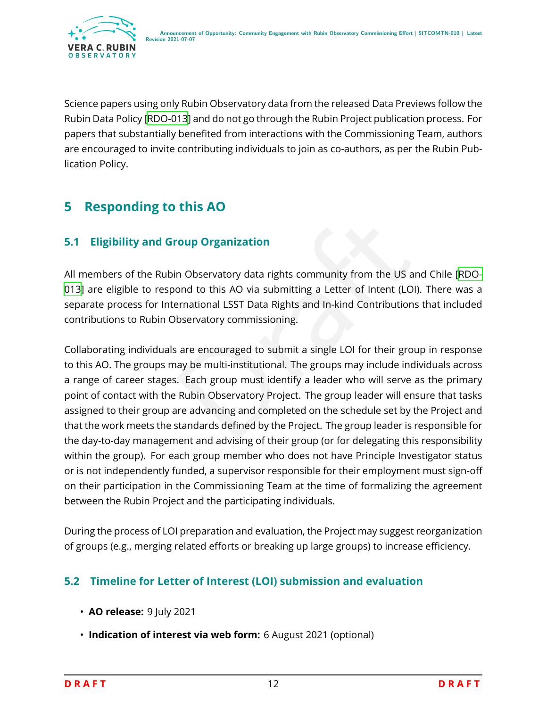

Science papers using only Rubin Observatory data from the released Data Previews follow the Rubin Data Policy[[RDO-013](#page-20-1)] and do not go through the Rubin Project publication process. For papers that substantially benefited from interactions with the Commissioning Team, authors are encouraged to invite contributing individuals to join as co-authors, as per the Rubin Publication Policy.

# <span id="page-15-0"></span>**5 Responding to this AO**

#### **5.1 Eligibility and Group Organization**

All members of the Rubin Observatory data rights community from the US and Chile [\[RDO-](#page-20-1)[013\]](#page-20-1) are eligible to respond to this AO via submitting a Letter of Intent (LOI). There was a separate process for International LSST Data Rights and In-kind Contributions that included contributions to Rubin Observatory commissioning.

<span id="page-15-1"></span>The US and the Secure of Secure 2013<br>The US and ond to this AO via submitting a Letter of Intent (LOI). The<br>The UST Data Rights and In-kind Contributions the<br>Servatory commissioning.<br>The Servatory commissioning.<br>The Servat Collaborating individuals are encouraged to submit a single LOI for their group in response to this AO. The groups may be multi-institutional. The groups may include individuals across a range of career stages. Each group must identify a leader who will serve as the primary point of contact with the Rubin Observatory Project. The group leader will ensure that tasks assigned to their group are advancing and completed on the schedule set by the Project and that the work meets the standards defined by the Project. The group leader is responsible for the day-to-day management and advising of their group (or for delegating this responsibility within the group). For each group member who does not have Principle Investigator status or is not independently funded, a supervisor responsible for their employment must sign-off on their participation in the Commissioning Team at the time of formalizing the agreement between the Rubin Project and the participating individuals.

During the process of LOI preparation and evaluation, the Project may suggest reorganization of groups (e.g., merging related efforts or breaking up large groups) to increase efficiency.

#### <span id="page-15-2"></span>**5.2 Timeline for Letter of Interest (LOI) submission and evaluation**

- **AO release:** 9 July 2021
- **Indication of interest via web form:** 6 August 2021 (optional)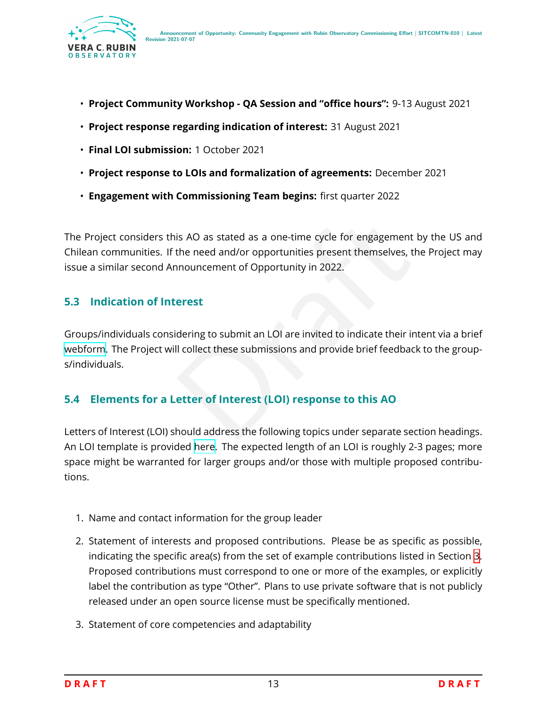

- **Project Community Workshop QA Session and "office hours":** 9-13 August 2021
- **Project response regarding indication of interest:** 31 August 2021
- **Final LOI submission:** 1 October 2021
- **Project response to LOIs and formalization of agreements:** December 2021
- **Engagement with Commissioning Team begins:** first quarter 2022

is AO as stated as a one-time cycle for engagement by<br>the need and/or opportunities present themselves, the<br>nouncement of Opportunity in 2022.<br>**erest**<br>dering to submit an LOI are invited to indicate their inter<br>ll collect The Project considers this AO as stated as a one-time cycle for engagement by the US and Chilean communities. If the need and/or opportunities present themselves, the Project may issue a similar second Announcement of Opportunity in 2022.

#### <span id="page-16-0"></span>**5.3 Indication of Interest**

Groups/individuals considering to submit an LOI are invited to indicate their intent via a brief [webform](https://forms.gle/GUkkpjYMrnd7zu1S8). The Project will collect these submissions and provide brief feedback to the groups/individuals.

#### <span id="page-16-1"></span>**5.4 Elements for a Letter of Interest (LOI) response to this AO**

Letters of Interest (LOI) should address the following topics under separate section headings. An LOI template is provided [here.](https://docs.google.com/document/d/12mYS3H0xRZme2t0leGIHfzwNgh575QhqsVnoUz7ybqQ/edit?usp=sharing) The expected length of an LOI is roughly 2-3 pages; more space might be warranted for larger groups and/or those with multiple proposed contributions.

- 1. Name and contact information for the group leader
- 2. Statement of interests and proposed contributions. Please be as specific as possible, indicating the specific area(s) from the set of example contributions listed in Section [3](#page-5-0) . Proposed contributions must correspond to one or more of the examples, or explicitly label the contribution as type "Other". Plans to use private software that is not publicly released under an open source license must be specifically mentioned.
- 3. Statement of core competencies and adaptability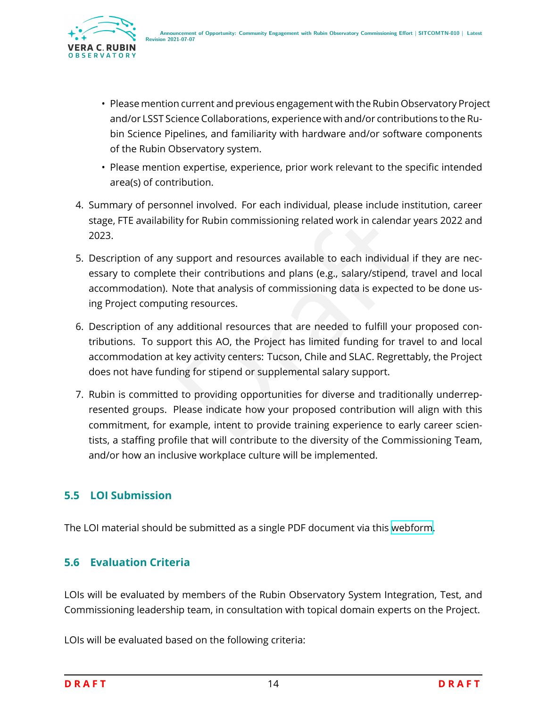

- Please mention current and previous engagement with the Rubin Observatory Project and/or LSST Science Collaborations, experience with and/or contributions to the Rubin Science Pipelines, and familiarity with hardware and/or software components of the Rubin Observatory system.
- Please mention expertise, experience, prior work relevant to the specific intended area(s) of contribution.
- 4. Summary of personnel involved. For each individual, please include institution, career stage, FTE availability for Rubin commissioning related work in calendar years 2022 and 2023.
- 5. Description of any support and resources available to each individual if they are necessary to complete their contributions and plans (e.g., salary/stipend, travel and local accommodation). Note that analysis of commissioning data is expected to be done using Project computing resources.
- ty for Rubin commissioning related work in calendar yea<br>support and resources available to each individual if the<br>their contributions and plans (e.g., salary/stipend, trav<br>dote that analysis of commissioning data is expect 6. Description of any additional resources that are needed to fulfill your proposed contributions. To support this AO, the Project has limited funding for travel to and local accommodation at key activity centers: Tucson, Chile and SLAC. Regrettably, the Project does not have funding for stipend or supplemental salary support.
- 7. Rubin is committed to providing opportunities for diverse and traditionally underrepresented groups. Please indicate how your proposed contribution will align with this commitment, for example, intent to provide training experience to early career scientists, a staffing profile that will contribute to the diversity of the Commissioning Team, and/or how an inclusive workplace culture will be implemented.

#### <span id="page-17-0"></span>**5.5 LOI Submission**

<span id="page-17-1"></span>The LOI material should be submitted as a single PDF document via this [webform](https://forms.gle/s223WLqLqTUqhe3e9) .

#### **5.6 Evaluation Criteria**

LOIs will be evaluated by members of the Rubin Observatory System Integration, Test, and Commissioning leadership team, in consultation with topical domain experts on the Project.

LOIs will be evaluated based on the following criteria: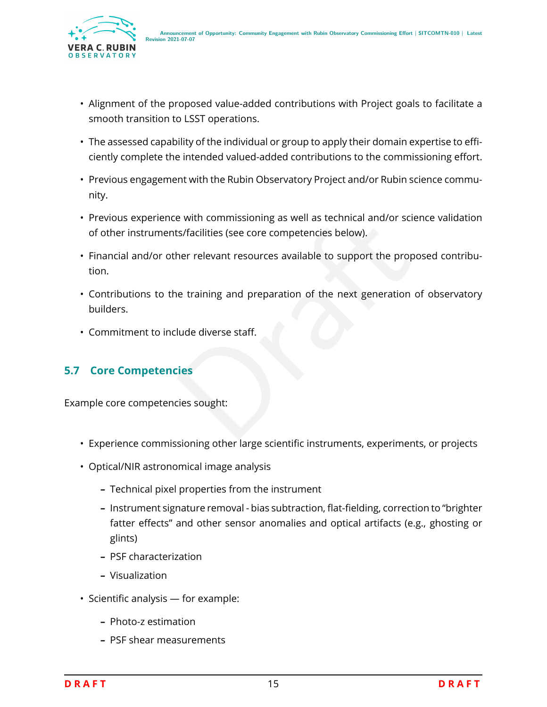

- Alignment of the proposed value-added contributions with Project goals to facilitate a smooth transition to LSST operations.
- The assessed capability of the individual or group to apply their domain expertise to efficiently complete the intended valued-added contributions to the commissioning effort.
- Previous engagement with the Rubin Observatory Project and/or Rubin science community.
- Previous experience with commissioning as well as technical and/or science validation of other instruments/facilities (see core competencies below).
- Financial and/or other relevant resources available to support the proposed contribution.
- e with commissioning as well as technical and/or sciencets/facilities (see core competencies below).<br>
her relevant resources available to support the propose<br>
ne training and preparation of the next generation of<br>
lude div • Contributions to the training and preparation of the next generation of observatory builders.
- Commitment to include diverse staff.

#### <span id="page-18-0"></span>**5.7 Core Competencies**

Example core competencies sought:

- Experience commissioning other large scientific instruments, experiments, or projects
- Optical/NIR astronomical image analysis
	- **–** Technical pixel properties from the instrument
	- **–** Instrument signature removal bias subtraction, flat-fielding, correction to "brighter fatter effects" and other sensor anomalies and optical artifacts (e.g., ghosting or glints)
	- **–** PSF characterization
	- **–** Visualization
- Scientific analysis for example:
	- **–** Photo-z estimation
	- **–** PSF shear measurements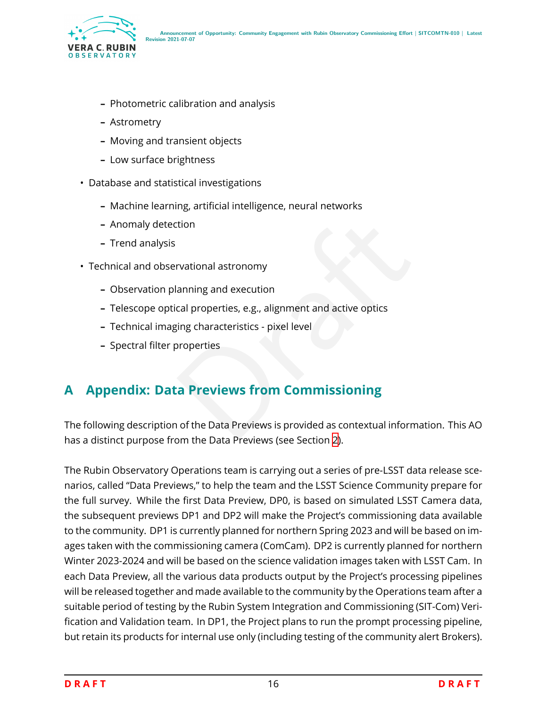

- **–** Photometric calibration and analysis
- **–** Astrometry
- **–** Moving and transient objects
- **–** Low surface brightness
- Database and statistical investigations
	- **–** Machine learning, artificial intelligence, neural networks
	- **–** Anomaly detection
	- **–** Trend analysis
- Technical and observational astronomy
	- **–** Observation planning and execution
	- **–** Telescope optical properties, e.g., alignment and active optics
	- **–** Technical imaging characteristics pixel level
	- **–** Spectral filter properties

## <span id="page-19-0"></span>**A Appendix: Data Previews from Commissioning**

Transformal<br>
Stational astronomy<br>
Standard Properties, e.g., alignment and active optics<br>
Standard Previews From Commissioning<br>
The Data Previews is provided as contextual information<br>
The Data Previews is provided as cont The following description of the Data Previews is provided as contextual information. This AO has a distinct purpose from the Data Previews (see Section [2\)](#page-4-1).

The Rubin Observatory Operations team is carrying out a series of pre-LSST data release scenarios, called "Data Previews," to help the team and the LSST Science Community prepare for the full survey. While the first Data Preview, DP0, is based on simulated LSST Camera data, the subsequent previews DP1 and DP2 will make the Project's commissioning data available to the community. DP1 is currently planned for northern Spring 2023 and will be based on images taken with the commissioning camera (ComCam). DP2 is currently planned for northern Winter 2023-2024 and will be based on the science validation images taken with LSST Cam. In each Data Preview, all the various data products output by the Project's processing pipelines will be released together and made available to the community by the Operations team after a suitable period of testing by the Rubin System Integration and Commissioning (SIT-Com) Verification and Validation team. In DP1, the Project plans to run the prompt processing pipeline, but retain its products for internal use only (including testing of the community alert Brokers).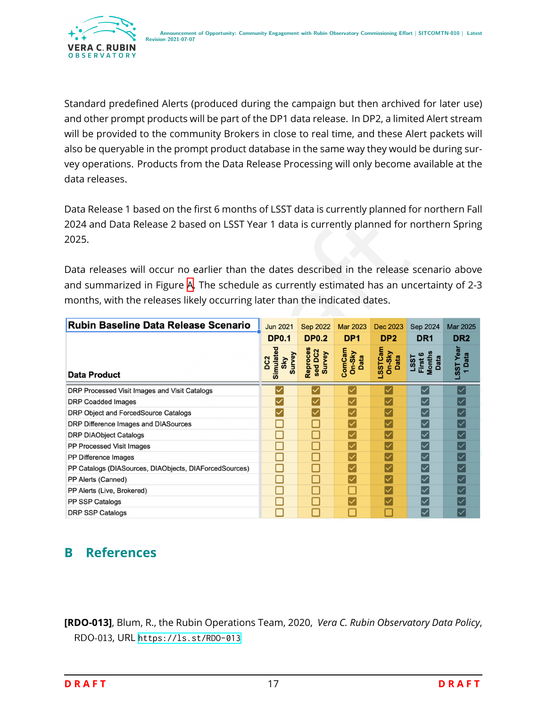

Standard predefined Alerts (produced during the campaign but then archived for later use) and other prompt products will be part of the DP1 data release. In DP2, a limited Alert stream will be provided to the community Brokers in close to real time, and these Alert packets will also be queryable in the prompt product database in the same way they would be during survey operations. Products from the Data Release Processing will only become available at the data releases.

Data Release 1 based on the first 6 months of LSST data is currently planned for northern Fall 2024 and Data Release 2 based on LSST Year 1 data is currently planned for northern Spring 2025.

| 2024 and Data Release 2 based on LSST Year 1 data is currently planned for northern Spring<br>2025. |                                               |                               |                          |                           |                                   |                     |  |
|-----------------------------------------------------------------------------------------------------|-----------------------------------------------|-------------------------------|--------------------------|---------------------------|-----------------------------------|---------------------|--|
| Data releases will occur no earlier than the dates described in the release scenario above          |                                               |                               |                          |                           |                                   |                     |  |
| and summarized in Figure A. The schedule as currently estimated has an uncertainty of 2-3           |                                               |                               |                          |                           |                                   |                     |  |
| months, with the releases likely occurring later than the indicated dates.                          |                                               |                               |                          |                           |                                   |                     |  |
| Rubin Baseline Data Release Scenario                                                                | <b>Jun 2021</b>                               | <b>Sep 2022</b>               | <b>Mar 2023</b>          | <b>Dec 2023</b>           | Sep 2024                          | <b>Mar 2025</b>     |  |
|                                                                                                     | <b>DP0.1</b>                                  | <b>DP0.2</b>                  | DP <sub>1</sub>          | DP <sub>2</sub>           | DR <sub>1</sub>                   | DR <sub>2</sub>     |  |
| <b>Data Product</b>                                                                                 | Simulated<br>Sky<br>Survey<br>DC <sub>2</sub> | Reproces<br>sed DC2<br>Survey | ComCam<br>On-Sky<br>Data | LSSTCam<br>On-Sky<br>Data | LSST<br>First 6<br>Months<br>Data | LSST Year<br>1 Data |  |
| DRP Processed Visit Images and Visit Catalogs                                                       |                                               |                               |                          |                           | $\overline{\checkmark}$           |                     |  |
| <b>DRP Coadded Images</b>                                                                           |                                               |                               |                          |                           | $\checkmark$                      |                     |  |
| DRP Object and ForcedSource Catalogs                                                                |                                               |                               |                          |                           | $\blacktriangledown$              |                     |  |
| DRP Difference Images and DIASources                                                                |                                               |                               |                          |                           | $\blacktriangledown$              |                     |  |
| <b>DRP DIAObject Catalogs</b>                                                                       |                                               |                               |                          |                           | $\checkmark$                      |                     |  |
| PP Processed Visit Images                                                                           | □                                             |                               |                          |                           | $\blacktriangledown$              |                     |  |
| PP Difference Images                                                                                | П                                             |                               | $\checkmark$             |                           | $\overline{\mathsf{v}}$           |                     |  |
| PP Catalogs (DIASources, DIAObjects, DIAForcedSources)                                              | □                                             |                               | $\checkmark$             |                           | $\checkmark$                      |                     |  |
| PP Alerts (Canned)                                                                                  | □                                             |                               | $\checkmark$             |                           | $\blacktriangledown$              |                     |  |
| PP Alerts (Live, Brokered)                                                                          |                                               |                               |                          |                           | $\checkmark$                      |                     |  |
| PP SSP Catalogs                                                                                     |                                               |                               |                          |                           |                                   |                     |  |
| <b>DRP SSP Catalogs</b>                                                                             |                                               |                               |                          |                           |                                   |                     |  |

## <span id="page-20-0"></span>**B References**

<span id="page-20-1"></span>**[RDO-013]**, Blum, R., the Rubin Operations Team, 2020, *Vera C. Rubin Observatory Data Policy*, RDO-013, URL <https://ls.st/RDO-013>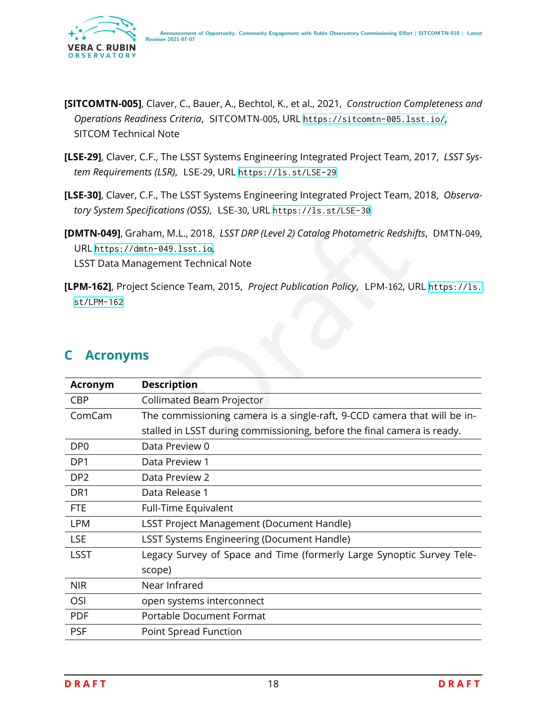

- <span id="page-21-3"></span>**[SITCOMTN-005]**, Claver, C., Bauer, A., Bechtol, K., et al., 2021, *Construction Completeness and* Operations Readiness Criteria, SITCOMTN-005, URL https://sitcomtn-005.1sst.io/, SITCOM Technical Note
- <span id="page-21-1"></span>**[LSE-29]**, Claver, C.F., The LSST Systems Engineering Integrated Project Team, 2017, *LSST System Requirements (LSR)*, LSE-29, URL <https://ls.st/LSE-29>
- <span id="page-21-2"></span>**[LSE-30]**, Claver, C.F., The LSST Systems Engineering Integrated Project Team, 2018, *Observatory System Specifications (OSS)*, LSE-30, URL <https://ls.st/LSE-30>
- **[DMTN-049]**, Graham, M.L., 2018, *LSST DRP (Level 2) Catalog Photometric Redshifts* , DMTN-049 , URL <https://dmtn-049.lsst.io> , LSST Data Management Technical Note
- <span id="page-21-5"></span>**[LPM-162]**, Project Science Team, 2015, *Project Publication Policy*, LPM-162, URL [https://ls.](https://ls.st/LPM-162) [st/LPM-162](https://ls.st/LPM-162)

<span id="page-21-4"></span>

|                                 | [DMTN-049], Graham, M.L., 2018, LSST DRP (Level 2) Catalog Photometric Redshifts, DMTN-04<br>URL https://dmtn-049.lsst.io,<br><b>LSST Data Management Technical Note</b> |
|---------------------------------|--------------------------------------------------------------------------------------------------------------------------------------------------------------------------|
| $st/LPM-162$<br><b>Acronyms</b> | [LPM-162], Project Science Team, 2015, Project Publication Policy, LPM-162, URL https://1s                                                                               |
|                                 |                                                                                                                                                                          |
| <b>Acronym</b>                  | <b>Description</b>                                                                                                                                                       |
| <b>CBP</b>                      | <b>Collimated Beam Projector</b>                                                                                                                                         |
| ComCam                          | The commissioning camera is a single-raft, 9-CCD camera that will be in-                                                                                                 |
|                                 | stalled in LSST during commissioning, before the final camera is ready.                                                                                                  |
| DP <sub>0</sub>                 | Data Preview 0                                                                                                                                                           |
| DP1                             | Data Preview 1                                                                                                                                                           |
| DP <sub>2</sub>                 | Data Preview 2                                                                                                                                                           |
| DR1                             | Data Release 1                                                                                                                                                           |
| <b>FTE</b>                      | Full-Time Equivalent                                                                                                                                                     |
| <b>LPM</b>                      | <b>LSST Project Management (Document Handle)</b>                                                                                                                         |
| <b>LSE</b>                      | <b>LSST Systems Engineering (Document Handle)</b>                                                                                                                        |
| <b>LSST</b>                     | Legacy Survey of Space and Time (formerly Large Synoptic Survey Tele-                                                                                                    |
|                                 | scope)                                                                                                                                                                   |
| <b>NIR</b>                      | Near Infrared                                                                                                                                                            |
| OSI                             | open systems interconnect                                                                                                                                                |
| <b>PDF</b>                      | <b>Portable Document Format</b>                                                                                                                                          |
| <b>PSF</b>                      | Point Spread Function                                                                                                                                                    |
|                                 |                                                                                                                                                                          |

#### <span id="page-21-0"></span>**C Acronyms**